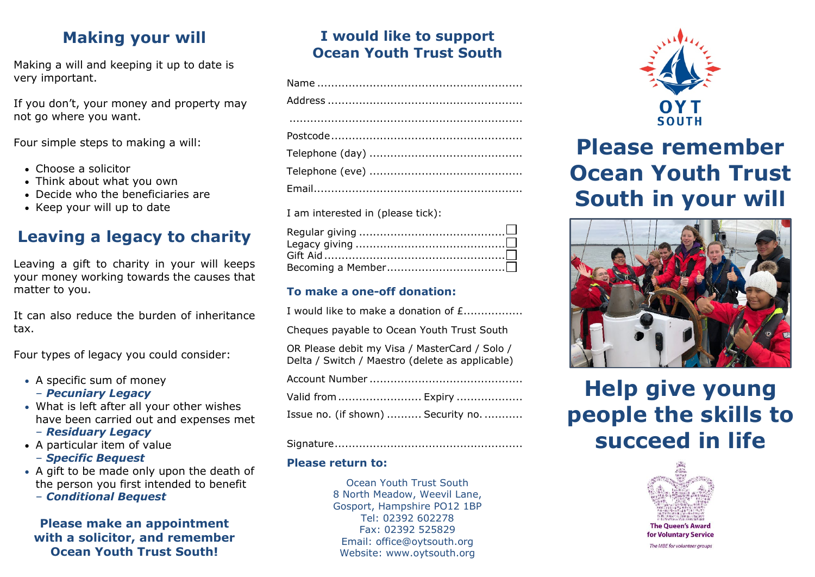# **Making your will**

Making a will and keeping it up to date is very important.

If you don't, your money and property may not go where you want.

Four simple steps to making a will:

- Choose a solicitor
- Think about what you own
- Decide who the beneficiaries are
- Keep your will up to date

## **Leaving a legacy to charity**

Leaving a gift to charity in your will keeps your money working towards the causes that matter to you.

It can also reduce the burden of inheritance tax.

Four types of legacy you could consider:

- A specific sum of money
	- *Pecuniary Legacy*
- What is left after all your other wishes have been carried out and expenses met
	- *Residuary Legacy*
- A particular item of value
	- *Specific Bequest*
- A gift to be made only upon the death of the person you first intended to benefit
	- *Conditional Bequest*

## **Please make an appointment with a solicitor, and remember Ocean Youth Trust South!**

## **I would like to support Ocean Youth Trust South**

I am interested in (please tick):

### **To make a one-off donation:**

| I would like to make a donation of £                                                             |
|--------------------------------------------------------------------------------------------------|
| Cheques payable to Ocean Youth Trust South                                                       |
| OR Please debit my Visa / MasterCard / Solo /<br>Delta / Switch / Maestro (delete as applicable) |
|                                                                                                  |
| Valid from  Expiry                                                                               |
| Issue no. (if shown)  Security no.                                                               |

#### Signature......................................................

#### **Please return to:**

Ocean Youth Trust South 8 North Meadow, Weevil Lane, Gosport, Hampshire PO12 1BP Tel: 02392 602278 Fax: 02392 525829 Email: office@oytsouth.org Website: www.oytsouth.org



# **Please remember Ocean Youth Trust South in your will**



# **Help give young people the skills to succeed in life**